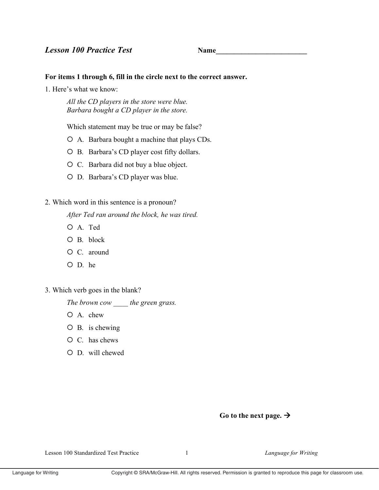**Name** 

## For items 1 through 6, fill in the circle next to the correct answer.

1. Here's what we know:

All the CD players in the store were blue. Barbara bought a CD player in the store.

Which statement may be true or may be false?

- O A. Barbara bought a machine that plays CDs.
- O B. Barbara's CD player cost fifty dollars.
- O C. Barbara did not buy a blue object.
- O D. Barbara's CD player was blue.
- 2. Which word in this sentence is a pronoun?

After Ted ran around the block, he was tired.

- O A. Ted
- $O$  B. block
- $O$  C. around
- $O$  D. he
- 3. Which verb goes in the blank?

The brown cow the green grass.

- $O$  A. chew
- $O$  B. is chewing
- $O \, C$ . has chews
- $O$  D. will chewed

## Go to the next page.  $\rightarrow$

Lesson 100 Standardized Test Practice

 $\mathbf{1}$ 

Language for Writing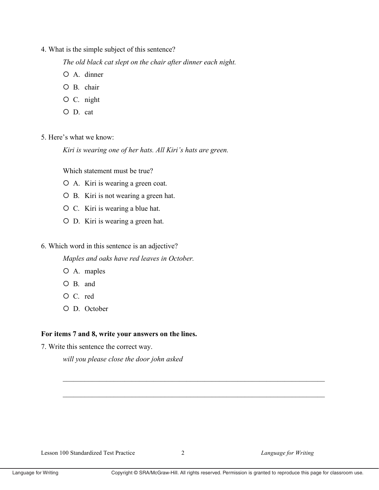4. What is the simple subject of this sentence?

The old black cat slept on the chair after dinner each night.

- $O$  A. dinner
- $O$  B. chair
- $O$  C. night
- O D. cat

5 Here's what we know.

Kiri is wearing one of her hats. All Kiri's hats are green.

Which statement must be true?

- O A. Kiri is wearing a green coat.
- O B. Kiri is not wearing a green hat.
- O C. Kiri is wearing a blue hat.
- O D. Kiri is wearing a green hat.

6. Which word in this sentence is an adjective?

Maples and oaks have red leaves in October.

- O A. maples
- O B. and
- O C. red
- O D. October

## For items 7 and 8, write your answers on the lines.

7. Write this sentence the correct way.

will you please close the door john asked

Lesson 100 Standardized Test Practice

Language for Writing